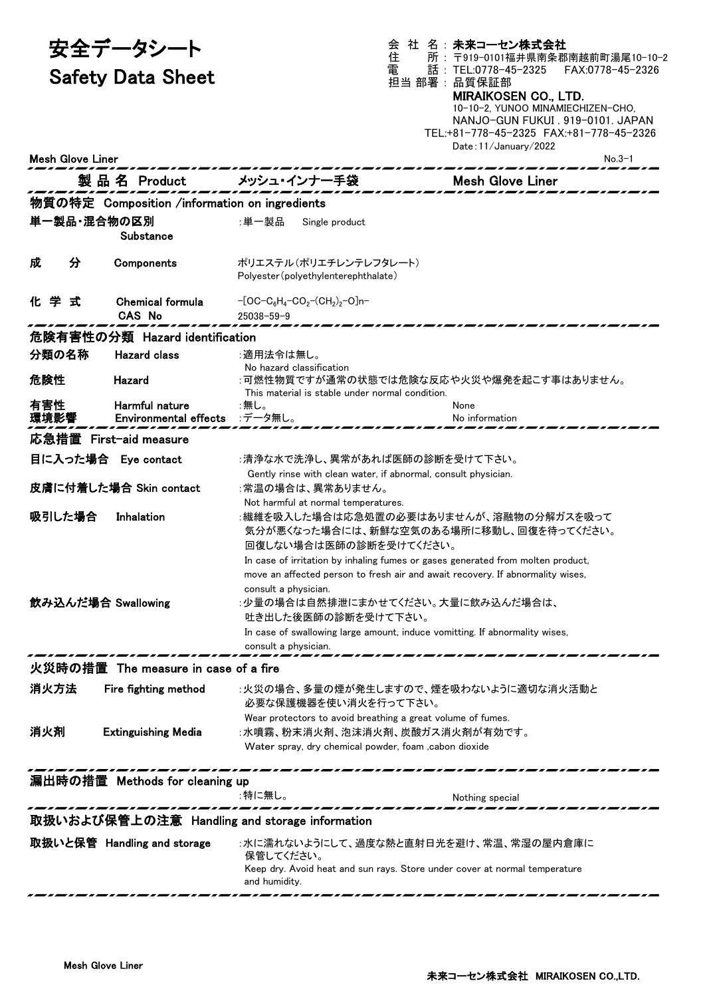安全データシート Safety Data Sheet

会 社 名 : 未来コーセン株式会社 住 所 : 〒919-0101福井県南条郡南越前町湯尾10-10-2 電 話 : TEL:0778-45-2325 FAX:0778-45-2326 担当 部署 : 品質保証部 MIRAIKOSEN CO., LTD. 10-10-2, YUNOO MINAMIECHIZEN-CHO, NANJO-GUN FUKUI . 919-0101. JAPAN TEL:+81-778-45-2325 FAX:+81-778-45-2326 Date:11/January/2022

Mesh Glove Liner No.3-1

|                                               |   | 製品名 Product                              | メッシュ・インナー手袋                                                                                                                                                                                                                                                                                                                                                  | <b>Mesh Glove Liner</b> |  |  |
|-----------------------------------------------|---|------------------------------------------|--------------------------------------------------------------------------------------------------------------------------------------------------------------------------------------------------------------------------------------------------------------------------------------------------------------------------------------------------------------|-------------------------|--|--|
| 物質の特定 Composition /information on ingredients |   |                                          |                                                                                                                                                                                                                                                                                                                                                              |                         |  |  |
|                                               |   | 単一製品・混合物の区別                              | :単一製品<br>Single product                                                                                                                                                                                                                                                                                                                                      |                         |  |  |
|                                               |   | Substance                                |                                                                                                                                                                                                                                                                                                                                                              |                         |  |  |
| 成                                             | 分 | Components                               | ポリエステル(ポリエチレンテレフタレート)<br>Polyester (polyethylenterephthalate)                                                                                                                                                                                                                                                                                                |                         |  |  |
| 化学式                                           |   | <b>Chemical formula</b><br><b>CAS No</b> | $-[OC-C_6H_4-CO_2-(CH_2)_2-O]n-$<br>$25038 - 59 - 9$                                                                                                                                                                                                                                                                                                         |                         |  |  |
|                                               |   | 危険有害性の分類 Hazard identification           |                                                                                                                                                                                                                                                                                                                                                              |                         |  |  |
| 分類の名称                                         |   | <b>Hazard class</b>                      | :適用法令は無し。                                                                                                                                                                                                                                                                                                                                                    |                         |  |  |
| 危険性                                           |   | Hazard                                   | No hazard classification<br>:可燃性物質ですが通常の状態では危険な反応や火災や爆発を起こす事はありません。<br>This material is stable under normal condition.                                                                                                                                                                                                                                       |                         |  |  |
| 有害性                                           |   | Harmful nature                           | :無し。                                                                                                                                                                                                                                                                                                                                                         | None                    |  |  |
| 環境影響                                          |   | <b>Environmental effects</b>             | :データ無し。                                                                                                                                                                                                                                                                                                                                                      | No information          |  |  |
|                                               |   | 応急措置 First-aid measure                   |                                                                                                                                                                                                                                                                                                                                                              |                         |  |  |
|                                               |   | 目に入った場合 Eye contact                      | :清浄な水で洗浄し、異常があれば医師の診断を受けて下さい。                                                                                                                                                                                                                                                                                                                                |                         |  |  |
|                                               |   | 皮膚に付着した場合 Skin contact                   | Gently rinse with clean water, if abnormal, consult physician.<br>:常温の場合は、異常ありません。                                                                                                                                                                                                                                                                           |                         |  |  |
| 吸引した場合                                        |   | Inhalation                               | Not harmful at normal temperatures.<br>:繊維を吸入した場合は応急処置の必要はありませんが、溶融物の分解ガスを吸って<br>気分が悪くなった場合には、新鮮な空気のある場所に移動し、回復を待ってください。<br>回復しない場合は医師の診断を受けてください。                                                                                                                                                                                                           |                         |  |  |
| 飲み込んだ場合 Swallowing                            |   |                                          | In case of irritation by inhaling fumes or gases generated from molten product,<br>move an affected person to fresh air and await recovery. If abnormality wises,<br>consult a physician.<br>:少量の場合は自然排泄にまかせてください。大量に飲み込んだ場合は、<br>吐き出した後医師の診断を受けて下さい。<br>In case of swallowing large amount, induce vomitting. If abnormality wises,<br>consult a physician. |                         |  |  |
| 火災時の措置 The measure in case of a fire          |   |                                          |                                                                                                                                                                                                                                                                                                                                                              |                         |  |  |
| 消火方法                                          |   | Fire fighting method                     | :火災の場合、多量の煙が発生しますので、煙を吸わないように適切な消火活動と<br>必要な保護機器を使い消火を行って下さい。                                                                                                                                                                                                                                                                                                |                         |  |  |
| 消火剤                                           |   | <b>Extinguishing Media</b>               | Wear protectors to avoid breathing a great volume of fumes.<br>:水噴霧、粉末消火剤、泡沫消火剤、炭酸ガス消火剤が有効です。<br>Water spray, dry chemical powder, foam , cabon dioxide                                                                                                                                                                                                      |                         |  |  |
| 漏出時の措置 Methods for cleaning up                |   |                                          |                                                                                                                                                                                                                                                                                                                                                              |                         |  |  |
|                                               |   |                                          | :特に無し。                                                                                                                                                                                                                                                                                                                                                       | Nothing special         |  |  |
| 取扱いおよび保管上の注意 Handling and storage information |   |                                          |                                                                                                                                                                                                                                                                                                                                                              |                         |  |  |
|                                               |   | 取扱いと保管 Handling and storage              | :水に濡れないようにして、過度な熱と直射日光を避け、常温、常湿の屋内倉庫に<br>保管してください。<br>Keep dry. Avoid heat and sun rays. Store under cover at normal temperature<br>and humidity.                                                                                                                                                                                                            |                         |  |  |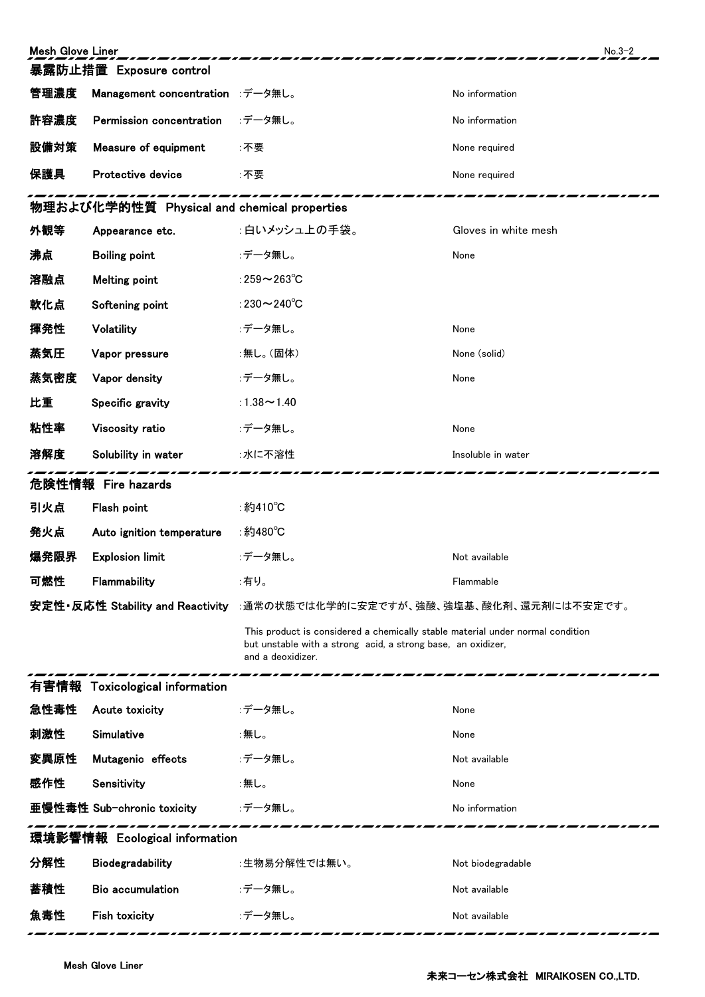| <b>Mesh Glove Liner</b><br>$No.3-2$         |                                  |                                                                                                                                                                     |                      |  |  |  |
|---------------------------------------------|----------------------------------|---------------------------------------------------------------------------------------------------------------------------------------------------------------------|----------------------|--|--|--|
| 暴露防止措置 Exposure control                     |                                  |                                                                                                                                                                     |                      |  |  |  |
| 管理濃度                                        | Management concentration :データ無し。 |                                                                                                                                                                     | No information       |  |  |  |
| 許容濃度                                        | Permission concentration         | :データ無し。                                                                                                                                                             | No information       |  |  |  |
| 設備対策                                        | Measure of equipment             | :不要                                                                                                                                                                 | None required        |  |  |  |
| 保護具                                         | Protective device                | :不要                                                                                                                                                                 | None required        |  |  |  |
| 物理および化学的性質 Physical and chemical properties |                                  |                                                                                                                                                                     |                      |  |  |  |
| 外観等                                         | Appearance etc.                  | :白いメッシュ上の手袋。                                                                                                                                                        | Gloves in white mesh |  |  |  |
| 沸点                                          | <b>Boiling point</b>             | :データ無し。                                                                                                                                                             | None                 |  |  |  |
| 溶融点                                         | <b>Melting point</b>             | :259 $\sim$ 263 $\degree$ C                                                                                                                                         |                      |  |  |  |
| 軟化点                                         | Softening point                  | :230 $\sim$ 240 $\degree$ C                                                                                                                                         |                      |  |  |  |
| 揮発性                                         | Volatility                       | :データ無し。                                                                                                                                                             | None                 |  |  |  |
| 蒸気圧                                         | Vapor pressure                   | :無し。(固体)                                                                                                                                                            | None (solid)         |  |  |  |
| 蒸気密度                                        | Vapor density                    | :データ無し。                                                                                                                                                             | None                 |  |  |  |
| 比重                                          | Specific gravity                 | :1.38 $\sim$ 1.40                                                                                                                                                   |                      |  |  |  |
| 粘性率                                         | Viscosity ratio                  | :データ無し。                                                                                                                                                             | None                 |  |  |  |
| 溶解度                                         | Solubility in water              | :水に不溶性                                                                                                                                                              | Insoluble in water   |  |  |  |
|                                             | 危険性情報 Fire hazards               |                                                                                                                                                                     |                      |  |  |  |
| 引火点                                         | Flash point                      | :約410℃                                                                                                                                                              |                      |  |  |  |
| 発火点                                         | Auto ignition temperature        | ∶約480℃                                                                                                                                                              |                      |  |  |  |
| 爆発限界                                        | <b>Explosion limit</b>           | :データ無し。                                                                                                                                                             | Not available        |  |  |  |
| 可燃性                                         | Flammability                     | :有り。                                                                                                                                                                | Flammable            |  |  |  |
|                                             |                                  | 安定性・反応性 Stability and Reactivity :通常の状態では化学的に安定ですが、強酸、強塩基、酸化剤、還元剤には不安定です。                                                                                           |                      |  |  |  |
|                                             |                                  | This product is considered a chemically stable material under normal condition<br>but unstable with a strong acid, a strong base, an oxidizer,<br>and a deoxidizer. |                      |  |  |  |
|                                             | 有害情報 Toxicological information   |                                                                                                                                                                     |                      |  |  |  |
| 急性毒性                                        | Acute toxicity                   | :データ無し。                                                                                                                                                             | None                 |  |  |  |
| 刺激性                                         | Simulative                       | :無し。                                                                                                                                                                | None                 |  |  |  |
| 変異原性                                        | Mutagenic effects                | :データ無し。                                                                                                                                                             | Not available        |  |  |  |
| 感作性                                         | Sensitivity                      | :無し。                                                                                                                                                                | None                 |  |  |  |
|                                             | 亜慢性毒性 Sub-chronic toxicity       | :データ無し。                                                                                                                                                             | No information       |  |  |  |
| 環境影響情報 Ecological information               |                                  |                                                                                                                                                                     |                      |  |  |  |
| 分解性                                         | Biodegradability                 | :生物易分解性では無い。                                                                                                                                                        | Not biodegradable    |  |  |  |
| 蓄積性                                         | <b>Bio accumulation</b>          | :データ無し。                                                                                                                                                             | Not available        |  |  |  |
| 魚毒性                                         | Fish toxicity                    | :データ無し。                                                                                                                                                             | Not available        |  |  |  |